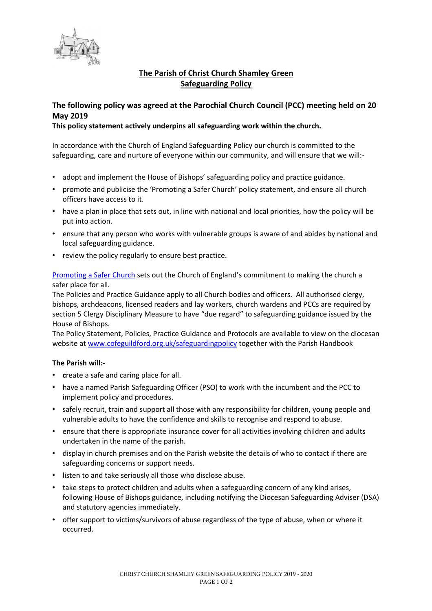

## **The Parish of Christ Church Shamley Green Safeguarding Policy**

# **The following policy was agreed at the Parochial Church Council (PCC) meeting held on 20 May 2019**

### **This policy statement actively underpins all safeguarding work within the church.**

In accordance with the Church of England Safeguarding Policy our church is committed to the safeguarding, care and nurture of everyone within our community, and will ensure that we will:-

- adopt and implement the House of Bishops' safeguarding policy and practice guidance.
- promote and publicise the 'Promoting a Safer Church' policy statement, and ensure all church officers have access to it.
- have a plan in place that sets out, in line with national and local priorities, how the policy will be put into action.
- ensure that any person who works with vulnerable groups is aware of and abides by national and local safeguarding guidance.
- review the policy regularly to ensure best practice.

[Promoting](https://www.churchofengland.org/sites/default/files/2017-11/cofe-policy-statement.pdf) a Safer Church sets out the Church of England's commitment to making the church a safer place for all.

The Policies and Practice Guidance apply to all Church bodies and officers. All authorised clergy, bishops, archdeacons, licensed readers and lay workers, church wardens and PCCs are required by section 5 Clergy Disciplinary Measure to have "due regard" to safeguarding guidance issued by the House of Bishops.

The Policy Statement, Policies, Practice Guidance and Protocols are available to view on the diocesan website at [www.cofeguildford.org.uk/safeguardingpolicy](http://www.cofeguildford.org.uk/safeguardingpolicy) together with the Parish Handbook

#### **The Parish will:-**

- **c**reate a safe and caring place for all.
- have a named Parish Safeguarding Officer (PSO) to work with the incumbent and the PCC to implement policy and procedures.
- safely recruit, train and support all those with any responsibility for children, young people and vulnerable adults to have the confidence and skills to recognise and respond to abuse.
- ensure that there is appropriate insurance cover for all activities involving children and adults undertaken in the name of the parish.
- display in church premises and on the Parish website the details of who to contact if there are safeguarding concerns or support needs.
- listen to and take seriously all those who disclose abuse.
- take steps to protect children and adults when a safeguarding concern of any kind arises, following House of Bishops guidance, including notifying the Diocesan Safeguarding Adviser (DSA) and statutory agencies immediately.
- offer support to victims/survivors of abuse regardless of the type of abuse, when or where it occurred.